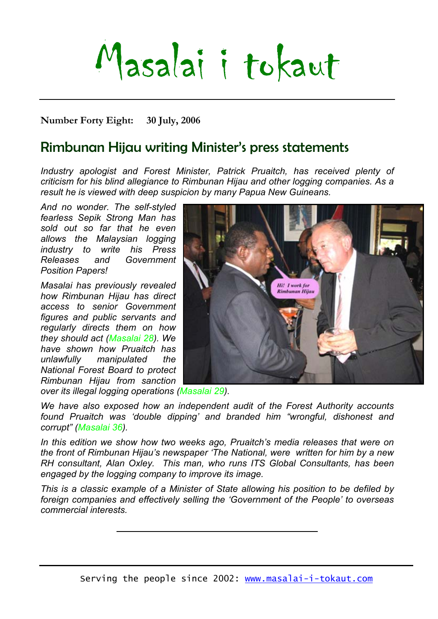# Masalai i tokaut

**Number Forty Eight: 30 July, 2006** 

## Rimbunan Hijau writing Minister's press statements

*Industry apologist and Forest Minister, Patrick Pruaitch, has received plenty of criticism for his blind allegiance to Rimbunan Hijau and other logging companies. As a result he is viewed with deep suspicion by many Papua New Guineans.* 

*And no wonder. The self-styled fearless Sepik Strong Man has sold out so far that he even allows the Malaysian logging industry to write his Press Releases and Government Position Papers!* 

*Masalai has previously revealed how Rimbunan Hijau has direct access to senior Government figures and public servants and regularly directs them on how they should act (Masalai 28). We have shown how Pruaitch has unlawfully manipulated the National Forest Board to protect Rimbunan Hijau from sanction over its illegal logging operations (Masalai 29).* 



*We have also exposed how an independent audit of the Forest Authority accounts found Pruaitch was 'double dipping' and branded him "wrongful, dishonest and corrupt" (Masalai 36).* 

*In this edition we show how two weeks ago, Pruaitch's media releases that were on the front of Rimbunan Hijau's newspaper 'The National, were written for him by a new RH consultant, Alan Oxley. This man, who runs ITS Global Consultants, has been engaged by the logging company to improve its image.* 

*This is a classic example of a Minister of State allowing his position to be defiled by foreign companies and effectively selling the 'Government of the People' to overseas commercial interests.*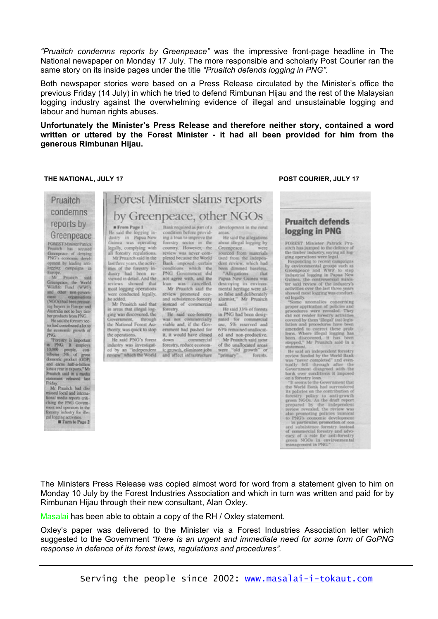*"Pruaitch condemns reports by Greenpeace"* was the impressive front-page headline in The National newspaper on Monday 17 July. The more responsible and scholarly Post Courier ran the same story on its inside pages under the title *"Pruaitch defends logging in PNG".* 

Both newspaper stories were based on a Press Release circulated by the Minister's office the previous Friday (14 July) in which he tried to defend Rimbunan Hijau and the rest of the Malaysian logging industry against the overwhelming evidence of illegal and unsustainable logging and labour and human rights abuses.

**Unfortunately the Minister's Press Release and therefore neither story, contained a word written or uttered by the Forest Minister - it had all been provided for him from the generous Rimbunan Hijau.** 

#### **THE NATIONAL, JULY 17 POST COURIER, JULY 17**

| Pruaitch                                                                                                                                                                                                                                                                                                                                                                                                                                                                                                                                                                                                                                                                                                                                                                                                                                                                                                                                                        | Forest Minister slams reports                                                                                                                                                                                                                                                                                                                                                                                                                                                                                                                                                                                                                                                                                                                                                                                                                                                                                                                                                                                                                                                                                                                                                                                                                                                                                                                                                                                                                                                                                                                                                                                                                                                                                                                                                                                                                                                                                                                                                                                                                                                  |                                                                                                                                                                                                                                                                                                                                                                                                                                                                                                                                                                                                                                                                                                                                                                                                                                                                                                                                                                                                                                                                                                                                                                                                                                                                                                                                       |
|-----------------------------------------------------------------------------------------------------------------------------------------------------------------------------------------------------------------------------------------------------------------------------------------------------------------------------------------------------------------------------------------------------------------------------------------------------------------------------------------------------------------------------------------------------------------------------------------------------------------------------------------------------------------------------------------------------------------------------------------------------------------------------------------------------------------------------------------------------------------------------------------------------------------------------------------------------------------|--------------------------------------------------------------------------------------------------------------------------------------------------------------------------------------------------------------------------------------------------------------------------------------------------------------------------------------------------------------------------------------------------------------------------------------------------------------------------------------------------------------------------------------------------------------------------------------------------------------------------------------------------------------------------------------------------------------------------------------------------------------------------------------------------------------------------------------------------------------------------------------------------------------------------------------------------------------------------------------------------------------------------------------------------------------------------------------------------------------------------------------------------------------------------------------------------------------------------------------------------------------------------------------------------------------------------------------------------------------------------------------------------------------------------------------------------------------------------------------------------------------------------------------------------------------------------------------------------------------------------------------------------------------------------------------------------------------------------------------------------------------------------------------------------------------------------------------------------------------------------------------------------------------------------------------------------------------------------------------------------------------------------------------------------------------------------------|---------------------------------------------------------------------------------------------------------------------------------------------------------------------------------------------------------------------------------------------------------------------------------------------------------------------------------------------------------------------------------------------------------------------------------------------------------------------------------------------------------------------------------------------------------------------------------------------------------------------------------------------------------------------------------------------------------------------------------------------------------------------------------------------------------------------------------------------------------------------------------------------------------------------------------------------------------------------------------------------------------------------------------------------------------------------------------------------------------------------------------------------------------------------------------------------------------------------------------------------------------------------------------------------------------------------------------------|
| condemns<br>reports by<br>Greenpeace<br><b>FOREST Minister Putrick</b><br>Pruaitch has accused<br>Georgeace of denvine<br>PNG's economic devel-<br>opment by leading anti-<br>logging campaigns in<br>Europe.<br>Mr.<br>Fraultch said<br>Greenpeace, the World<br>Wildlife Fund (WWF)<br>and other non-govern-<br>organisations<br><b>TOUR</b><br>(NGOs) had been pressur-<br>ing buyers in Europe and<br>Australia not to buy tim-<br>ber products from PNG.<br>He said the forestry sec-<br>tor had contributed a lot to<br>the economic growth of<br>PNG.<br>"Forestry is important<br>in PNG, It employs<br>10,000 people.<br>con-<br>tributes 5% of gross<br>domestic product (GDP)<br>and cams half-a-billion<br>kina a year in exports," Mr<br>Pruaitch said in a media<br>statement released last<br>Priday,<br>Mr Prozitch had dis-<br>missed local and interna-<br>tional media reports criti-<br>cising the PNG Govern-<br>ment and operators in the | by Greenpeace, other NGOs<br><b>#From Page 1</b><br>development in the rural<br>Bank required as part of a<br>He said the logging in-<br>condition before provid-<br>arcas.<br>dustry in Papua New<br>ing a loan to improve the<br>He said the allegations<br>Guinea was operating<br>forestry sector in the<br>about illegal logging by<br>legally, complying with<br>country. However, the<br><b>Greenpeace</b><br>were<br>all forestry regulations.<br>sourced from materials<br>review was never com-<br>Mr Pruaitch said in the<br>pleted because the World<br>used from the indepen-<br>last three years, the activ-<br>dent review, which had<br>Bank imposed certain<br>conditions which the<br>ities of the forestry in-<br>been dimmed baseless.<br>PNG Government did<br>dustry had been re-<br>"Allegations that<br>viewed in detail. And the<br>not agree with, and the<br>Papua New Guinea was<br>reviews showed that<br>loan was cancelled.<br>destroying its environ-<br>Mr Pruaitch said the<br>mental heritage were al-<br>most logging operations<br>so false and deliberately<br>were conducted legally,<br>review promoted eco-<br>and subsistence-forestry<br>alarmist," Mr Pruaitch<br>he added.<br>said.<br>Mr Pruaitch said that<br>instead of commercial<br>in areas that illegal log-<br>forestry.<br>He said 33% of forests<br>ging was discovered, the<br>He said cco-forestry<br>in PNG had been desig-<br>Government, through<br>was not commercially<br>nated for commercial<br>the National Forest Au-<br>viable and, if the Gov-<br>use, 5% reserved and<br>thority, was quick to stop<br>ernment had pushed for<br>63% remained unallocat-<br>it, it would have closed<br>the operations.<br>ed and non-productive.<br>He said PNG's forest<br>commercial<br>Mr Prenitch said most<br>down<br>of the unallocated areas<br>industry was investigat-<br>forestry, reduce econom-<br>ed by an "independent<br>ic growth, eliminate jobs<br>were old growth or<br>review" which the World<br>and affect infrastructure<br>"primary"<br>forests. | <b>Pruaitch defends</b><br>logging in PNG<br>FOREST Minister Patrick Pru-<br>aitch has jumped to the defence of<br>the timber industry, saying all leg-<br>ging operations were legal.<br>Responding to recent campaigns<br>by environmental groups such as<br>Greenpeace and WWF to stop<br>industrial logging in Papua New<br>Guinea, the contreversial minis-<br>ter said review of the industry's<br>activities over the last three years<br>showed most logging was conduct-<br>ed legally.<br>"Some anomalies concerning<br>proper application of policies and<br>procedures were revealed. They<br>did not render forestry activities.<br>covered by them "illegal" (as) legis-<br>lation and procedures have been<br>amended to correct these prob-<br>lems. Where illegal logging has<br>been discovered, it has been<br>stopped," Mr Prunitch said in a<br>statement.<br>He said an independent forestry<br>review funded by the World Bank<br>was "never completed" and even-<br>tually fell through after the<br>Government disagreed with the<br>bank over conditions it imposed<br>on a forestry loan.<br>"It seems to the Government that<br>the World Bank had surrendered<br>its policies on the contribution of<br>forestry policy to anti-growth<br>green NGOs. As the draft report<br>prepared by the independent |

ral logging activities.

review revealed, the review was also promoting policies in<br>impact to PNG's economic development  $\cdots$  in particular, promotion of<br> $\cos$  and subsistence for<br>estry instead of commercial forestry and advocacy of a real<br> $\cos\eta$ 

The Ministers Press Release was copied almost word for word from a statement given to him on Monday 10 July by the Forest Industries Association and which in turn was written and paid for by Rimbunan Hijau through their new consultant, Alan Oxley.

Masalai has been able to obtain a copy of the RH / Oxley statement.

Oxley's paper was delivered to the Minister via a Forest Industries Association letter which suggested to the Government *"there is an urgent and immediate need for some form of GoPNG response in defence of its forest laws, regulations and procedures".*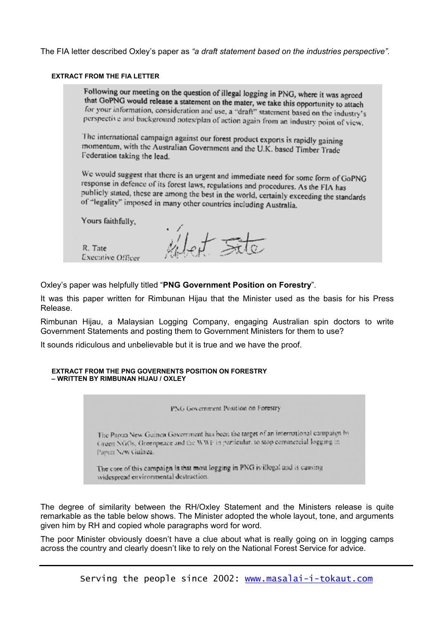The FIA letter described Oxley's paper as *"a draft statement based on the industries perspective".*

#### **EXTRACT FROM THE FIA LETTER**

Following our meeting on the question of illegal logging in PNG, where it was agreed that GoPNG would release a statement on the mater, we take this opportunity to attach for your information, consideration and use, a "draft" statement based on the industry's perspective and background notes/plan of action again from an industry point of view.

The international campaign against our forest product exports is rapidly gaining momentum, with the Australian Government and the U.K. based Timber Trade Federation taking the lead.

We would suggest that there is an urgent and immediate need for some form of GoPNG response in defence of its forest laws, regulations and procedures. As the FIA has publicly stated, these are among the best in the world, certainly exceeding the standards of "legality" imposed in many other countries including Australia.

Yours faithfully,

R. Tate Executive Officer

 $W_{\alpha}$ 

Oxley's paper was helpfully titled "**PNG Government Position on Forestry**".

It was this paper written for Rimbunan Hijau that the Minister used as the basis for his Press Release.

Rimbunan Hijau, a Malaysian Logging Company, engaging Australian spin doctors to write Government Statements and posting them to Government Ministers for them to use?

It sounds ridiculous and unbelievable but it is true and we have the proof.

#### **EXTRACT FROM THE PNG GOVERNENTS POSITION ON FORESTRY – WRITTEN BY RIMBUNAN HIJAU / OXLEY**



The degree of similarity between the RH/Oxley Statement and the Ministers release is quite remarkable as the table below shows. The Minister adopted the whole layout, tone, and arguments given him by RH and copied whole paragraphs word for word.

The poor Minister obviously doesn't have a clue about what is really going on in logging camps across the country and clearly doesn't like to rely on the National Forest Service for advice.